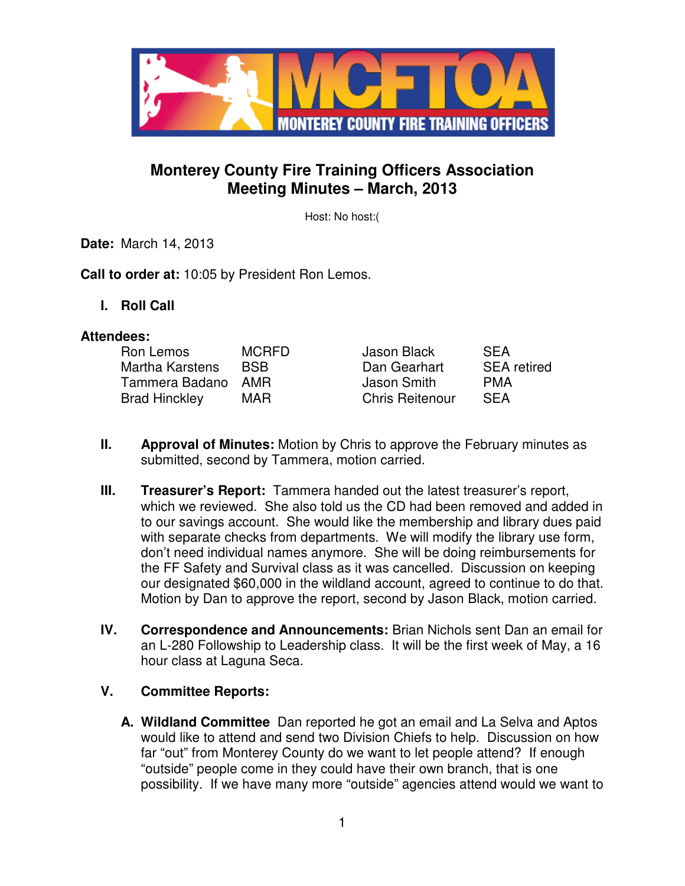

# **Monterey County Fire Training Officers Association Meeting Minutes – March, 2013**

Host: No host:(

**Date:** March 14, 2013

**Call to order at:** 10:05 by President Ron Lemos.

**I. Roll Call** 

#### **Attendees:**

| Ron Lemos            | <b>MCRFD</b> | Jason Black            | <b>SFA</b>         |
|----------------------|--------------|------------------------|--------------------|
| Martha Karstens      | <b>BSB</b>   | Dan Gearhart           | <b>SEA</b> retired |
| Tammera Badano       | AMR          | Jason Smith            | <b>PMA</b>         |
| <b>Brad Hinckley</b> | MAR          | <b>Chris Reitenour</b> | <b>SFA</b>         |

- **II. Approval of Minutes:** Motion by Chris to approve the February minutes as submitted, second by Tammera, motion carried.
- **III. Treasurer's Report:** Tammera handed out the latest treasurer's report, which we reviewed. She also told us the CD had been removed and added in to our savings account. She would like the membership and library dues paid with separate checks from departments. We will modify the library use form, don't need individual names anymore. She will be doing reimbursements for the FF Safety and Survival class as it was cancelled. Discussion on keeping our designated \$60,000 in the wildland account, agreed to continue to do that. Motion by Dan to approve the report, second by Jason Black, motion carried.
- **IV. Correspondence and Announcements:** Brian Nichols sent Dan an email for an L-280 Followship to Leadership class. It will be the first week of May, a 16 hour class at Laguna Seca.

#### **V. Committee Reports:**

**A. Wildland Committee** Dan reported he got an email and La Selva and Aptos would like to attend and send two Division Chiefs to help. Discussion on how far "out" from Monterey County do we want to let people attend? If enough "outside" people come in they could have their own branch, that is one possibility. If we have many more "outside" agencies attend would we want to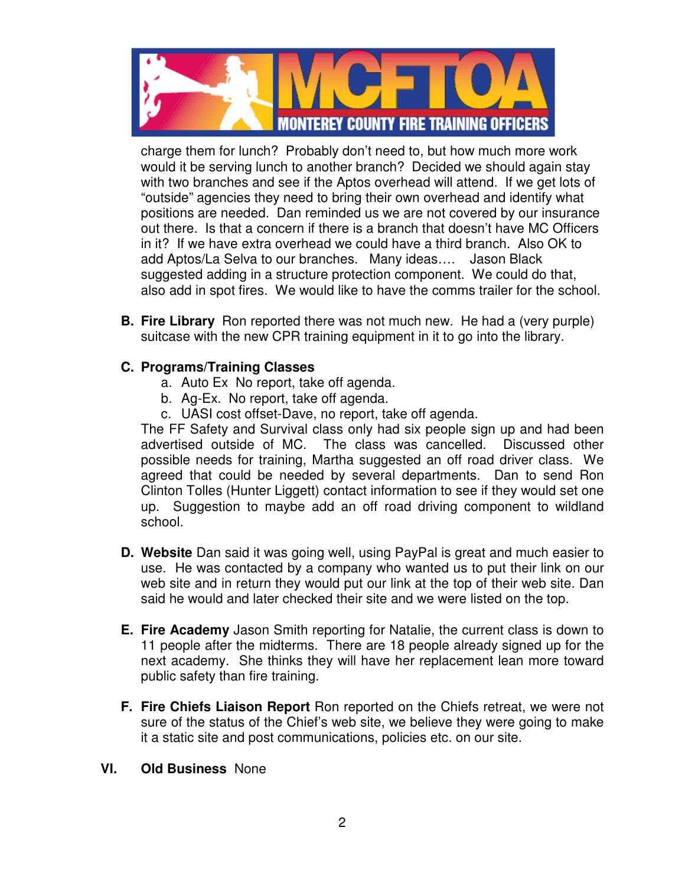

charge them for lunch? Probably don't need to, but how much more work would it be serving lunch to another branch? Decided we should again stay with two branches and see if the Aptos overhead will attend. If we get lots of "outside" agencies they need to bring their own overhead and identify what positions are needed. Dan reminded us we are not covered by our insurance out there. Is that a concern if there is a branch that doesn't have MC Officers in it? If we have extra overhead we could have a third branch. Also OK to add Aptos/La Selva to our branches. Many ideas…. Jason Black suggested adding in a structure protection component. We could do that, also add in spot fires. We would like to have the comms trailer for the school.

**B. Fire Library** Ron reported there was not much new. He had a (very purple) suitcase with the new CPR training equipment in it to go into the library.

### **C. Programs/Training Classes**

- a. Auto Ex No report, take off agenda.
- b. Ag-Ex. No report, take off agenda.
- c. UASI cost offset-Dave, no report, take off agenda.

The FF Safety and Survival class only had six people sign up and had been advertised outside of MC. The class was cancelled. Discussed other possible needs for training, Martha suggested an off road driver class. We agreed that could be needed by several departments. Dan to send Ron Clinton Tolles (Hunter Liggett) contact information to see if they would set one up. Suggestion to maybe add an off road driving component to wildland school.

- **D. Website** Dan said it was going well, using PayPal is great and much easier to use. He was contacted by a company who wanted us to put their link on our web site and in return they would put our link at the top of their web site. Dan said he would and later checked their site and we were listed on the top.
- **E. Fire Academy** Jason Smith reporting for Natalie, the current class is down to 11 people after the midterms. There are 18 people already signed up for the next academy. She thinks they will have her replacement lean more toward public safety than fire training.
- **F. Fire Chiefs Liaison Report** Ron reported on the Chiefs retreat, we were not sure of the status of the Chief's web site, we believe they were going to make it a static site and post communications, policies etc. on our site.

#### **VI. Old Business** None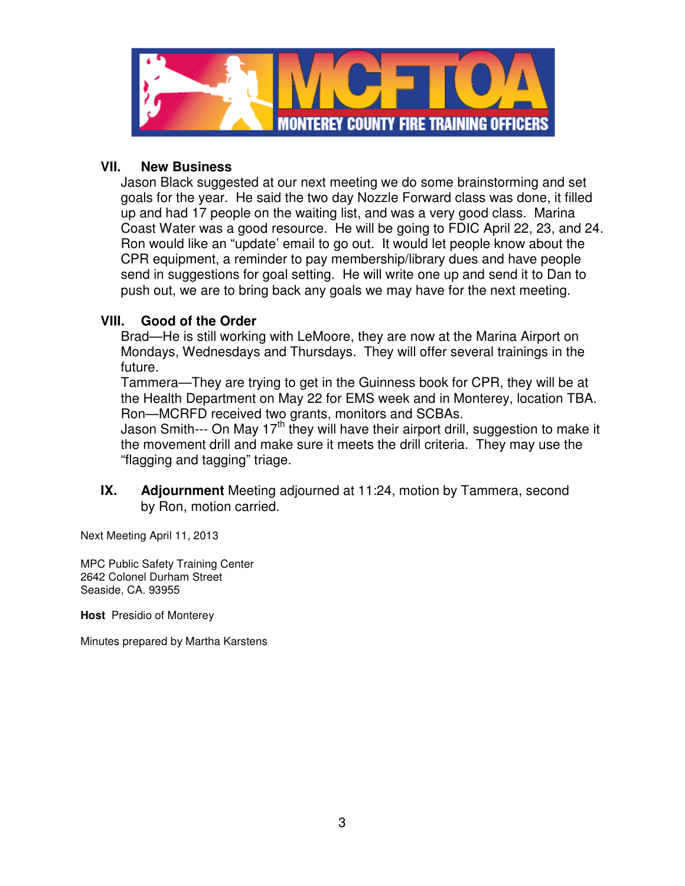

#### **VII. New Business**

Jason Black suggested at our next meeting we do some brainstorming and set goals for the year. He said the two day Nozzle Forward class was done, it filled up and had 17 people on the waiting list, and was a very good class. Marina Coast Water was a good resource. He will be going to FDIC April 22, 23, and 24. Ron would like an "update' email to go out. It would let people know about the CPR equipment, a reminder to pay membership/library dues and have people send in suggestions for goal setting. He will write one up and send it to Dan to push out, we are to bring back any goals we may have for the next meeting.

#### **VIII. Good of the Order**

Brad—He is still working with LeMoore, they are now at the Marina Airport on Mondays, Wednesdays and Thursdays. They will offer several trainings in the future.

Tammera—They are trying to get in the Guinness book for CPR, they will be at the Health Department on May 22 for EMS week and in Monterey, location TBA. Ron—MCRFD received two grants, monitors and SCBAs.

Jason Smith--- On May  $17<sup>th</sup>$  they will have their airport drill, suggestion to make it the movement drill and make sure it meets the drill criteria. They may use the "flagging and tagging" triage.

**IX. Adjournment** Meeting adjourned at 11:24, motion by Tammera, second by Ron, motion carried.

Next Meeting April 11, 2013

MPC Public Safety Training Center 2642 Colonel Durham Street Seaside, CA. 93955

**Host** Presidio of Monterey

Minutes prepared by Martha Karstens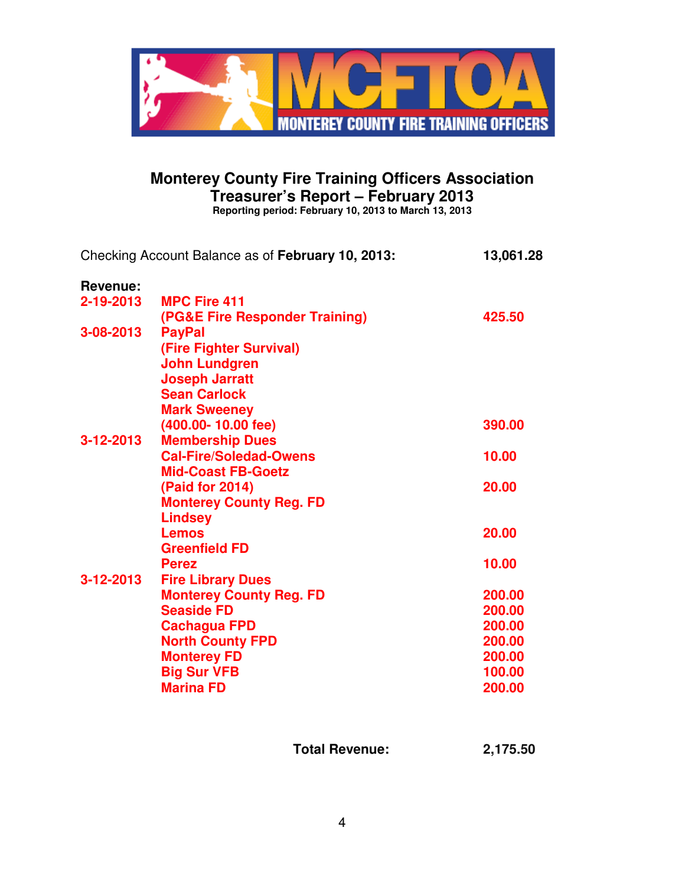

# **Monterey County Fire Training Officers Association Treasurer's Report – February 2013**

**Reporting period: February 10, 2013 to March 13, 2013**

| Revenue:<br>2-19-2013<br><b>MPC Fire 411</b><br>(PG&E Fire Responder Training)<br>425.50<br>3-08-2013<br><b>PayPal</b><br>(Fire Fighter Survival)<br><b>John Lundgren</b><br><b>Joseph Jarratt</b><br><b>Sean Carlock</b><br><b>Mark Sweeney</b><br>(400.00-10.00 fee)<br>390.00<br><b>Membership Dues</b><br>3-12-2013<br><b>Cal-Fire/Soledad-Owens</b><br>10.00<br><b>Mid-Coast FB-Goetz</b><br>(Paid for 2014)<br>20.00 |
|----------------------------------------------------------------------------------------------------------------------------------------------------------------------------------------------------------------------------------------------------------------------------------------------------------------------------------------------------------------------------------------------------------------------------|
|                                                                                                                                                                                                                                                                                                                                                                                                                            |
|                                                                                                                                                                                                                                                                                                                                                                                                                            |
|                                                                                                                                                                                                                                                                                                                                                                                                                            |
|                                                                                                                                                                                                                                                                                                                                                                                                                            |
|                                                                                                                                                                                                                                                                                                                                                                                                                            |
|                                                                                                                                                                                                                                                                                                                                                                                                                            |
|                                                                                                                                                                                                                                                                                                                                                                                                                            |
|                                                                                                                                                                                                                                                                                                                                                                                                                            |
|                                                                                                                                                                                                                                                                                                                                                                                                                            |
|                                                                                                                                                                                                                                                                                                                                                                                                                            |
|                                                                                                                                                                                                                                                                                                                                                                                                                            |
|                                                                                                                                                                                                                                                                                                                                                                                                                            |
|                                                                                                                                                                                                                                                                                                                                                                                                                            |
|                                                                                                                                                                                                                                                                                                                                                                                                                            |
| <b>Monterey County Reg. FD</b>                                                                                                                                                                                                                                                                                                                                                                                             |
| Lindsey                                                                                                                                                                                                                                                                                                                                                                                                                    |
| 20.00<br><b>Lemos</b>                                                                                                                                                                                                                                                                                                                                                                                                      |
| <b>Greenfield FD</b>                                                                                                                                                                                                                                                                                                                                                                                                       |
| 10.00<br><b>Perez</b>                                                                                                                                                                                                                                                                                                                                                                                                      |
| 3-12-2013<br><b>Fire Library Dues</b>                                                                                                                                                                                                                                                                                                                                                                                      |
| 200.00<br><b>Monterey County Reg. FD</b>                                                                                                                                                                                                                                                                                                                                                                                   |
| <b>Seaside FD</b><br>200.00                                                                                                                                                                                                                                                                                                                                                                                                |
| 200.00<br><b>Cachagua FPD</b>                                                                                                                                                                                                                                                                                                                                                                                              |
| <b>North County FPD</b><br>200.00                                                                                                                                                                                                                                                                                                                                                                                          |
| <b>Monterey FD</b><br>200.00                                                                                                                                                                                                                                                                                                                                                                                               |
| <b>Big Sur VFB</b><br>100.00                                                                                                                                                                                                                                                                                                                                                                                               |
| <b>Marina FD</b><br>200.00                                                                                                                                                                                                                                                                                                                                                                                                 |

**Total Revenue: 2,175.50**